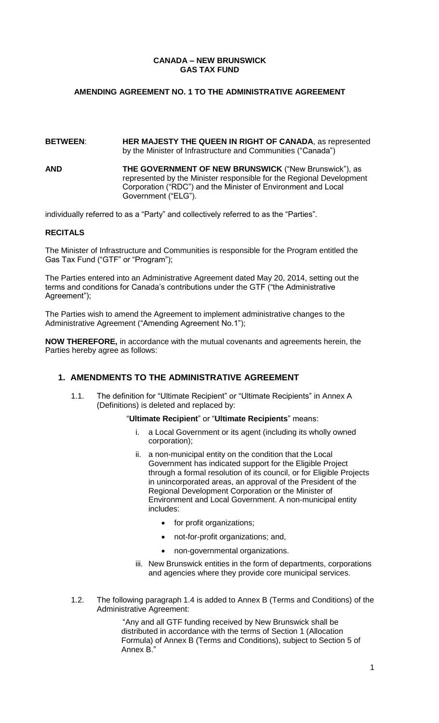### **CANADA – NEW BRUNSWICK GAS TAX FUND**

## **AMENDING AGREEMENT NO. 1 TO THE ADMINISTRATIVE AGREEMENT**

### **BETWEEN**: **HER MAJESTY THE QUEEN IN RIGHT OF CANADA**, as represented by the Minister of Infrastructure and Communities ("Canada")

**AND THE GOVERNMENT OF NEW BRUNSWICK** ("New Brunswick"), as represented by the Minister responsible for the Regional Development Corporation ("RDC") and the Minister of Environment and Local Government ("ELG").

individually referred to as a "Party" and collectively referred to as the "Parties".

### **RECITALS**

The Minister of Infrastructure and Communities is responsible for the Program entitled the Gas Tax Fund ("GTF" or "Program");

The Parties entered into an Administrative Agreement dated May 20, 2014, setting out the terms and conditions for Canada's contributions under the GTF ("the Administrative Agreement");

The Parties wish to amend the Agreement to implement administrative changes to the Administrative Agreement ("Amending Agreement No.1");

**NOW THEREFORE,** in accordance with the mutual covenants and agreements herein, the Parties hereby agree as follows:

# **1. AMENDMENTS TO THE ADMINISTRATIVE AGREEMENT**

1.1. The definition for "Ultimate Recipient" or "Ultimate Recipients" in Annex A (Definitions) is deleted and replaced by:

### "**Ultimate Recipient**" or "**Ultimate Recipients**" means:

- i. a Local Government or its agent (including its wholly owned corporation);
- ii. a non-municipal entity on the condition that the Local Government has indicated support for the Eligible Project through a formal resolution of its council, or for Eligible Projects in unincorporated areas, an approval of the President of the Regional Development Corporation or the Minister of Environment and Local Government. A non-municipal entity includes:
	- for profit organizations;
	- not-for-profit organizations; and,
	- non-governmental organizations.
- iii. New Brunswick entities in the form of departments, corporations and agencies where they provide core municipal services.
- 1.2. The following paragraph 1.4 is added to Annex B (Terms and Conditions) of the Administrative Agreement:

"Any and all GTF funding received by New Brunswick shall be distributed in accordance with the terms of Section 1 (Allocation Formula) of Annex B (Terms and Conditions), subject to Section 5 of Annex B."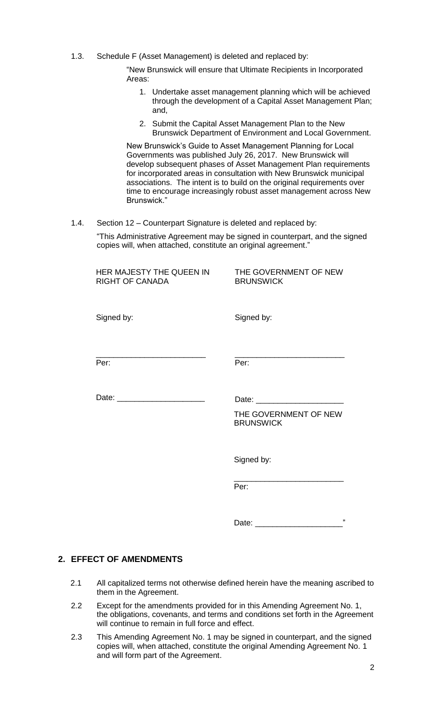1.3. Schedule F (Asset Management) is deleted and replaced by:

"New Brunswick will ensure that Ultimate Recipients in Incorporated Areas:

- 1. Undertake asset management planning which will be achieved through the development of a Capital Asset Management Plan; and,
- 2. Submit the Capital Asset Management Plan to the New Brunswick Department of Environment and Local Government.

New Brunswick's Guide to Asset Management Planning for Local Governments was published July 26, 2017. New Brunswick will develop subsequent phases of Asset Management Plan requirements for incorporated areas in consultation with New Brunswick municipal associations. The intent is to build on the original requirements over time to encourage increasingly robust asset management across New Brunswick."

1.4. Section 12 – Counterpart Signature is deleted and replaced by:

"This Administrative Agreement may be signed in counterpart, and the signed copies will, when attached, constitute an original agreement."

| HER MAJESTY THE QUEEN IN<br><b>RIGHT OF CANADA</b>                                                                            | THE GOVERNMENT OF NEW<br><b>BRUNSWICK</b>                                                                                     |
|-------------------------------------------------------------------------------------------------------------------------------|-------------------------------------------------------------------------------------------------------------------------------|
| Signed by:                                                                                                                    | Signed by:                                                                                                                    |
| <u> 1989 - Johann Harry Harry Harry Harry Harry Harry Harry Harry Harry Harry Harry Harry Harry Harry Harry Harry</u><br>Per: | <u> 1980 - Johann John Stone, mars et al. (b. 1980)</u><br>Per:                                                               |
|                                                                                                                               | THE GOVERNMENT OF NEW<br><b>BRUNSWICK</b>                                                                                     |
|                                                                                                                               | Signed by:                                                                                                                    |
|                                                                                                                               | <u> 1989 - Johann Barbara, martin amerikan basar dan berasal dan berasal dalam basar dalam basar dalam basar dala</u><br>Per: |
|                                                                                                                               | ,,                                                                                                                            |

# **2. EFFECT OF AMENDMENTS**

- 2.1 All capitalized terms not otherwise defined herein have the meaning ascribed to them in the Agreement.
- 2.2 Except for the amendments provided for in this Amending Agreement No. 1, the obligations, covenants, and terms and conditions set forth in the Agreement will continue to remain in full force and effect.
- 2.3 This Amending Agreement No. 1 may be signed in counterpart, and the signed copies will, when attached, constitute the original Amending Agreement No. 1 and will form part of the Agreement.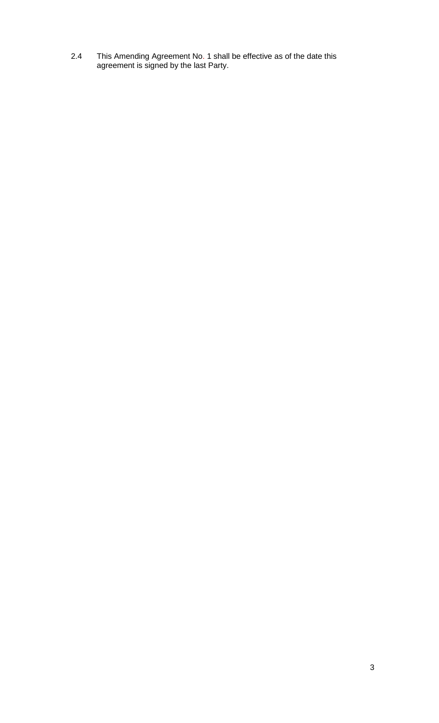2.4 This Amending Agreement No. 1 shall be effective as of the date this agreement is signed by the last Party.